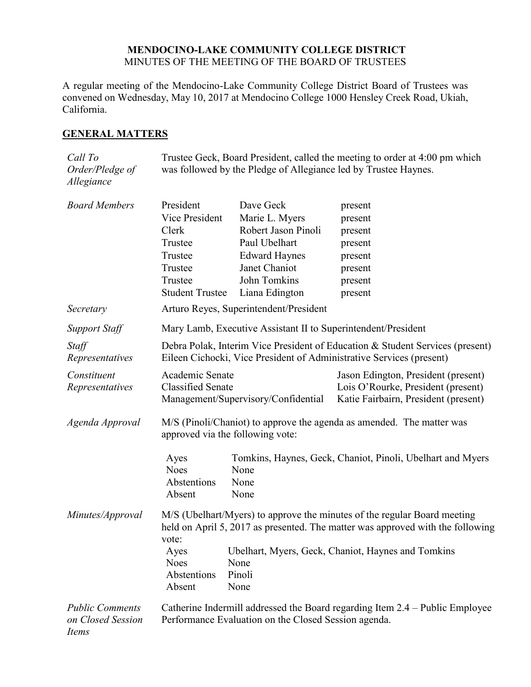## **MENDOCINO-LAKE COMMUNITY COLLEGE DISTRICT** MINUTES OF THE MEETING OF THE BOARD OF TRUSTEES

A regular meeting of the Mendocino-Lake Community College District Board of Trustees was convened on Wednesday, May 10, 2017 at Mendocino College 1000 Hensley Creek Road, Ukiah, California.

# **GENERAL MATTERS**

| Call To<br>Order/Pledge of<br>Allegiance             | Trustee Geck, Board President, called the meeting to order at 4:00 pm which<br>was followed by the Pledge of Allegiance led by Trustee Haynes.                      |                                                                                                                                                |                                                                                                                   |  |
|------------------------------------------------------|---------------------------------------------------------------------------------------------------------------------------------------------------------------------|------------------------------------------------------------------------------------------------------------------------------------------------|-------------------------------------------------------------------------------------------------------------------|--|
| <b>Board Members</b>                                 | President<br>Vice President<br>Clerk<br>Trustee<br>Trustee<br>Trustee<br>Trustee<br><b>Student Trustee</b>                                                          | Dave Geck<br>Marie L. Myers<br>Robert Jason Pinoli<br>Paul Ubelhart<br><b>Edward Haynes</b><br>Janet Chaniot<br>John Tomkins<br>Liana Edington | present<br>present<br>present<br>present<br>present<br>present<br>present<br>present                              |  |
| Secretary                                            | Arturo Reyes, Superintendent/President                                                                                                                              |                                                                                                                                                |                                                                                                                   |  |
| <b>Support Staff</b>                                 | Mary Lamb, Executive Assistant II to Superintendent/President                                                                                                       |                                                                                                                                                |                                                                                                                   |  |
| Staff<br>Representatives                             | Debra Polak, Interim Vice President of Education & Student Services (present)<br>Eileen Cichocki, Vice President of Administrative Services (present)               |                                                                                                                                                |                                                                                                                   |  |
| Constituent<br>Representatives                       | Academic Senate<br><b>Classified Senate</b><br>Management/Supervisory/Confidential                                                                                  |                                                                                                                                                | Jason Edington, President (present)<br>Lois O'Rourke, President (present)<br>Katie Fairbairn, President (present) |  |
| Agenda Approval                                      | M/S (Pinoli/Chaniot) to approve the agenda as amended. The matter was<br>approved via the following vote:                                                           |                                                                                                                                                |                                                                                                                   |  |
|                                                      | Ayes<br><b>Noes</b><br>Abstentions<br>Absent                                                                                                                        | None<br>None<br>None                                                                                                                           | Tomkins, Haynes, Geck, Chaniot, Pinoli, Ubelhart and Myers                                                        |  |
| Minutes/Approval                                     | M/S (Ubelhart/Myers) to approve the minutes of the regular Board meeting<br>held on April 5, 2017 as presented. The matter was approved with the following<br>vote: |                                                                                                                                                |                                                                                                                   |  |
|                                                      | Ayes<br><b>Noes</b><br>Abstentions<br>Absent                                                                                                                        | None<br>Pinoli<br>None                                                                                                                         | Ubelhart, Myers, Geck, Chaniot, Haynes and Tomkins                                                                |  |
| <b>Public Comments</b><br>on Closed Session<br>Items | Catherine Indermill addressed the Board regarding Item 2.4 – Public Employee<br>Performance Evaluation on the Closed Session agenda.                                |                                                                                                                                                |                                                                                                                   |  |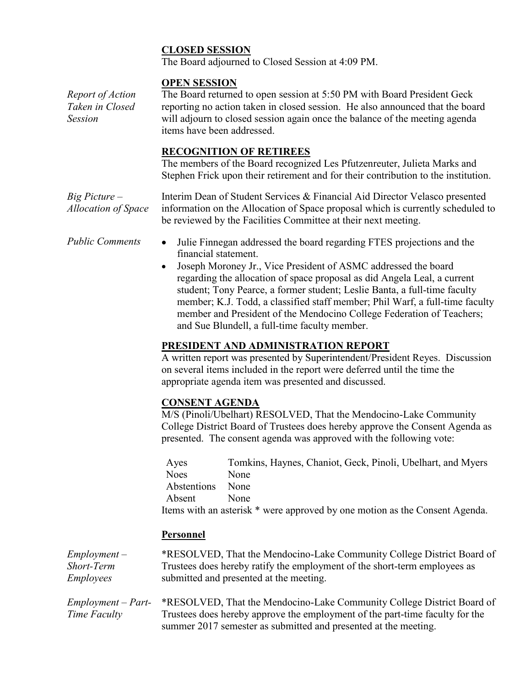# **CLOSED SESSION**

The Board adjourned to Closed Session at 4:09 PM.

# **OPEN SESSION**

*Report of Action Taken in Closed Session* The Board returned to open session at 5:50 PM with Board President Geck reporting no action taken in closed session. He also announced that the board will adjourn to closed session again once the balance of the meeting agenda items have been addressed.

## **RECOGNITION OF RETIREES**

The members of the Board recognized Les Pfutzenreuter, Julieta Marks and Stephen Frick upon their retirement and for their contribution to the institution.

*Big Picture – Allocation of Space* Interim Dean of Student Services & Financial Aid Director Velasco presented information on the Allocation of Space proposal which is currently scheduled to be reviewed by the Facilities Committee at their next meeting.

- *Public Comments* Julie Finnegan addressed the board regarding FTES projections and the financial statement.
	- Joseph Moroney Jr., Vice President of ASMC addressed the board regarding the allocation of space proposal as did Angela Leal, a current student; Tony Pearce, a former student; Leslie Banta, a full-time faculty member; K.J. Todd, a classified staff member; Phil Warf, a full-time faculty member and President of the Mendocino College Federation of Teachers; and Sue Blundell, a full-time faculty member.

# **PRESIDENT AND ADMINISTRATION REPORT**

A written report was presented by Superintendent/President Reyes. Discussion on several items included in the report were deferred until the time the appropriate agenda item was presented and discussed.

## **CONSENT AGENDA**

M/S (Pinoli/Ubelhart) RESOLVED, That the Mendocino-Lake Community College District Board of Trustees does hereby approve the Consent Agenda as presented. The consent agenda was approved with the following vote:

| Ayes        | Tomkins, Haynes, Chaniot, Geck, Pinoli, Ubelhart, and Myers                 |
|-------------|-----------------------------------------------------------------------------|
| <b>Noes</b> | <b>None</b>                                                                 |
| Abstentions | None                                                                        |
| Absent      | <b>None</b>                                                                 |
|             | Items with an asterisk * were approved by one motion as the Consent Agenda. |

## **Personnel**

| $Employment -$       | *RESOLVED, That the Mendocino-Lake Community College District Board of       |
|----------------------|------------------------------------------------------------------------------|
| Short-Term           | Trustees does hereby ratify the employment of the short-term employees as    |
| <i>Employees</i>     | submitted and presented at the meeting.                                      |
|                      |                                                                              |
| $Employment - Part-$ | *RESOLVED, That the Mendocino-Lake Community College District Board of       |
| Time Faculty         | Trustees does hereby approve the employment of the part-time faculty for the |
|                      | summer 2017 semester as submitted and presented at the meeting.              |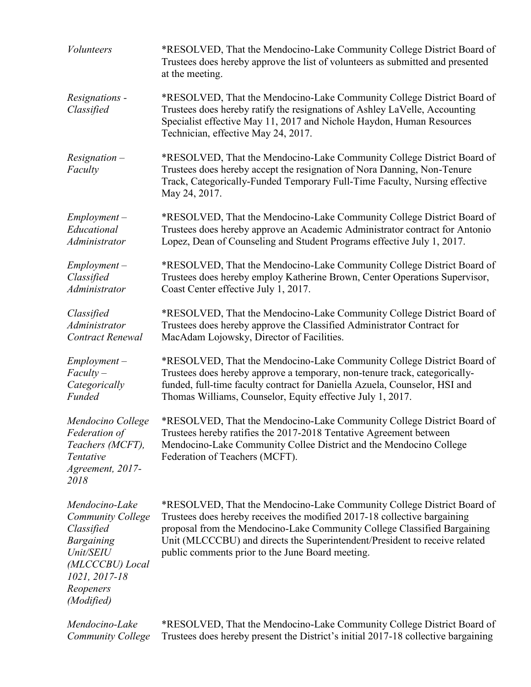| <i>Volunteers</i>                                                                                                                                         | *RESOLVED, That the Mendocino-Lake Community College District Board of<br>Trustees does hereby approve the list of volunteers as submitted and presented<br>at the meeting.                                                                                                                                                                                      |  |
|-----------------------------------------------------------------------------------------------------------------------------------------------------------|------------------------------------------------------------------------------------------------------------------------------------------------------------------------------------------------------------------------------------------------------------------------------------------------------------------------------------------------------------------|--|
| Resignations -<br>Classified                                                                                                                              | *RESOLVED, That the Mendocino-Lake Community College District Board of<br>Trustees does hereby ratify the resignations of Ashley LaVelle, Accounting<br>Specialist effective May 11, 2017 and Nichole Haydon, Human Resources<br>Technician, effective May 24, 2017.                                                                                             |  |
| $Resignation -$<br>Faculty                                                                                                                                | *RESOLVED, That the Mendocino-Lake Community College District Board of<br>Trustees does hereby accept the resignation of Nora Danning, Non-Tenure<br>Track, Categorically-Funded Temporary Full-Time Faculty, Nursing effective<br>May 24, 2017.                                                                                                                 |  |
| $Employment -$                                                                                                                                            | *RESOLVED, That the Mendocino-Lake Community College District Board of                                                                                                                                                                                                                                                                                           |  |
| Educational                                                                                                                                               | Trustees does hereby approve an Academic Administrator contract for Antonio                                                                                                                                                                                                                                                                                      |  |
| Administrator                                                                                                                                             | Lopez, Dean of Counseling and Student Programs effective July 1, 2017.                                                                                                                                                                                                                                                                                           |  |
| $Employment -$                                                                                                                                            | *RESOLVED, That the Mendocino-Lake Community College District Board of                                                                                                                                                                                                                                                                                           |  |
| Classified                                                                                                                                                | Trustees does hereby employ Katherine Brown, Center Operations Supervisor,                                                                                                                                                                                                                                                                                       |  |
| Administrator                                                                                                                                             | Coast Center effective July 1, 2017.                                                                                                                                                                                                                                                                                                                             |  |
| Classified                                                                                                                                                | *RESOLVED, That the Mendocino-Lake Community College District Board of                                                                                                                                                                                                                                                                                           |  |
| Administrator                                                                                                                                             | Trustees does hereby approve the Classified Administrator Contract for                                                                                                                                                                                                                                                                                           |  |
| <b>Contract Renewal</b>                                                                                                                                   | MacAdam Lojowsky, Director of Facilities.                                                                                                                                                                                                                                                                                                                        |  |
| $Employment -$                                                                                                                                            | *RESOLVED, That the Mendocino-Lake Community College District Board of                                                                                                                                                                                                                                                                                           |  |
| $Faculty -$                                                                                                                                               | Trustees does hereby approve a temporary, non-tenure track, categorically-                                                                                                                                                                                                                                                                                       |  |
| Categorically                                                                                                                                             | funded, full-time faculty contract for Daniella Azuela, Counselor, HSI and                                                                                                                                                                                                                                                                                       |  |
| Funded                                                                                                                                                    | Thomas Williams, Counselor, Equity effective July 1, 2017.                                                                                                                                                                                                                                                                                                       |  |
| Mendocino College<br>Federation of<br>Teachers (MCFT),<br>Tentative<br>Agreement, 2017-<br>2018                                                           | *RESOLVED, That the Mendocino-Lake Community College District Board of<br>Trustees hereby ratifies the 2017-2018 Tentative Agreement between<br>Mendocino-Lake Community Collee District and the Mendocino College<br>Federation of Teachers (MCFT).                                                                                                             |  |
| Mendocino-Lake<br><b>Community College</b><br>Classified<br><b>Bargaining</b><br>Unit/SEIU<br>(MLCCCBU) Local<br>1021, 2017-18<br>Reopeners<br>(Modified) | *RESOLVED, That the Mendocino-Lake Community College District Board of<br>Trustees does hereby receives the modified 2017-18 collective bargaining<br>proposal from the Mendocino-Lake Community College Classified Bargaining<br>Unit (MLCCCBU) and directs the Superintendent/President to receive related<br>public comments prior to the June Board meeting. |  |
| Mendocino-Lake                                                                                                                                            | *RESOLVED, That the Mendocino-Lake Community College District Board of                                                                                                                                                                                                                                                                                           |  |
| <b>Community College</b>                                                                                                                                  | Trustees does hereby present the District's initial 2017-18 collective bargaining                                                                                                                                                                                                                                                                                |  |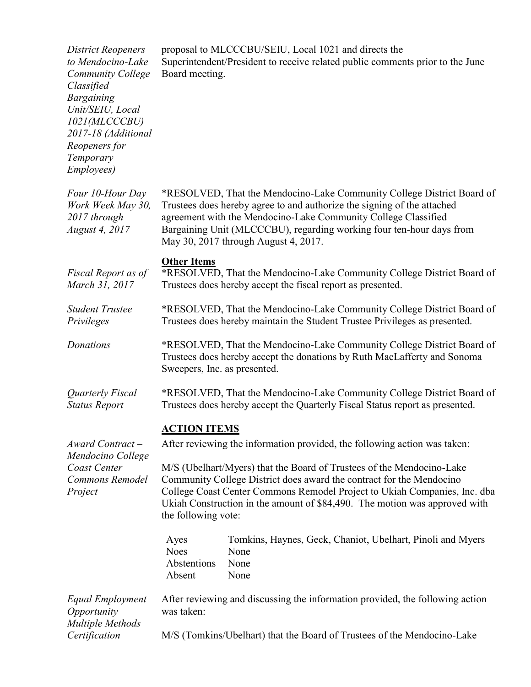| <b>District Reopeners</b><br>to Mendocino-Lake<br>Community College<br>Classified<br><b>Bargaining</b><br>Unit/SEIU, Local<br>1021(MLCCCBU)<br>2017-18 (Additional<br>Reopeners for<br>Temporary<br>Employees) | proposal to MLCCCBU/SEIU, Local 1021 and directs the<br>Superintendent/President to receive related public comments prior to the June<br>Board meeting.                                                                                                                                                                                                                                                                                                                                                                                                 |  |  |
|----------------------------------------------------------------------------------------------------------------------------------------------------------------------------------------------------------------|---------------------------------------------------------------------------------------------------------------------------------------------------------------------------------------------------------------------------------------------------------------------------------------------------------------------------------------------------------------------------------------------------------------------------------------------------------------------------------------------------------------------------------------------------------|--|--|
| Four 10-Hour Day<br>Work Week May 30,<br>2017 through<br>August 4, 2017                                                                                                                                        | *RESOLVED, That the Mendocino-Lake Community College District Board of<br>Trustees does hereby agree to and authorize the signing of the attached<br>agreement with the Mendocino-Lake Community College Classified<br>Bargaining Unit (MLCCCBU), regarding working four ten-hour days from<br>May 30, 2017 through August 4, 2017.                                                                                                                                                                                                                     |  |  |
| Fiscal Report as of<br>March 31, 2017                                                                                                                                                                          | <b>Other Items</b><br>*RESOLVED, That the Mendocino-Lake Community College District Board of<br>Trustees does hereby accept the fiscal report as presented.                                                                                                                                                                                                                                                                                                                                                                                             |  |  |
| <b>Student Trustee</b><br>Privileges                                                                                                                                                                           | *RESOLVED, That the Mendocino-Lake Community College District Board of<br>Trustees does hereby maintain the Student Trustee Privileges as presented.                                                                                                                                                                                                                                                                                                                                                                                                    |  |  |
| Donations                                                                                                                                                                                                      | *RESOLVED, That the Mendocino-Lake Community College District Board of<br>Trustees does hereby accept the donations by Ruth MacLafferty and Sonoma<br>Sweepers, Inc. as presented.                                                                                                                                                                                                                                                                                                                                                                      |  |  |
| Quarterly Fiscal<br><b>Status Report</b>                                                                                                                                                                       | *RESOLVED, That the Mendocino-Lake Community College District Board of<br>Trustees does hereby accept the Quarterly Fiscal Status report as presented.                                                                                                                                                                                                                                                                                                                                                                                                  |  |  |
| Award Contract-<br>Mendocino College<br>Coast Center<br>Commons Remodel<br>Project                                                                                                                             | <b>ACTION ITEMS</b><br>After reviewing the information provided, the following action was taken:<br>M/S (Ubelhart/Myers) that the Board of Trustees of the Mendocino-Lake<br>Community College District does award the contract for the Mendocino<br>College Coast Center Commons Remodel Project to Ukiah Companies, Inc. dba<br>Ukiah Construction in the amount of \$84,490. The motion was approved with<br>the following vote:<br>Tomkins, Haynes, Geck, Chaniot, Ubelhart, Pinoli and Myers<br>Ayes<br><b>Noes</b><br>None<br>Abstentions<br>None |  |  |
| Equal Employment<br>Opportunity<br><b>Multiple Methods</b><br>Certification                                                                                                                                    | None<br>Absent<br>After reviewing and discussing the information provided, the following action<br>was taken:<br>M/S (Tomkins/Ubelhart) that the Board of Trustees of the Mendocino-Lake                                                                                                                                                                                                                                                                                                                                                                |  |  |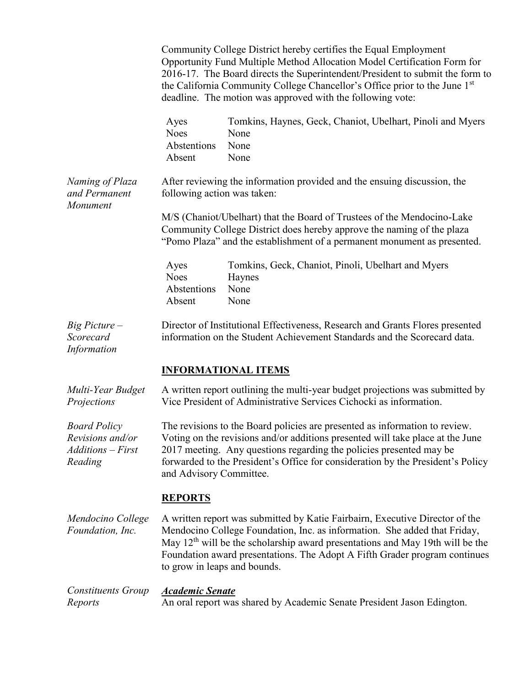|                                                                         | Community College District hereby certifies the Equal Employment<br>Opportunity Fund Multiple Method Allocation Model Certification Form for<br>2016-17. The Board directs the Superintendent/President to submit the form to<br>the California Community College Chancellor's Office prior to the June 1 <sup>st</sup><br>deadline. The motion was approved with the following vote: |                                                                                                                                                           |  |  |
|-------------------------------------------------------------------------|---------------------------------------------------------------------------------------------------------------------------------------------------------------------------------------------------------------------------------------------------------------------------------------------------------------------------------------------------------------------------------------|-----------------------------------------------------------------------------------------------------------------------------------------------------------|--|--|
|                                                                         | Ayes<br><b>Noes</b><br>Abstentions<br>Absent                                                                                                                                                                                                                                                                                                                                          | Tomkins, Haynes, Geck, Chaniot, Ubelhart, Pinoli and Myers<br>None<br>None<br>None                                                                        |  |  |
| Naming of Plaza<br>and Permanent<br>Monument                            | After reviewing the information provided and the ensuing discussion, the<br>following action was taken:                                                                                                                                                                                                                                                                               |                                                                                                                                                           |  |  |
|                                                                         | M/S (Chaniot/Ubelhart) that the Board of Trustees of the Mendocino-Lake<br>Community College District does hereby approve the naming of the plaza<br>"Pomo Plaza" and the establishment of a permanent monument as presented.                                                                                                                                                         |                                                                                                                                                           |  |  |
|                                                                         | Ayes<br><b>Noes</b><br>Abstentions<br>Absent                                                                                                                                                                                                                                                                                                                                          | Tomkins, Geck, Chaniot, Pinoli, Ubelhart and Myers<br>Haynes<br>None<br>None                                                                              |  |  |
| $Big$ Picture $-$<br>Scorecard<br>Information                           |                                                                                                                                                                                                                                                                                                                                                                                       | Director of Institutional Effectiveness, Research and Grants Flores presented<br>information on the Student Achievement Standards and the Scorecard data. |  |  |
|                                                                         | <b>INFORMATIONAL ITEMS</b>                                                                                                                                                                                                                                                                                                                                                            |                                                                                                                                                           |  |  |
| Multi-Year Budget<br>Projections                                        | A written report outlining the multi-year budget projections was submitted by<br>Vice President of Administrative Services Cichocki as information.                                                                                                                                                                                                                                   |                                                                                                                                                           |  |  |
| <b>Board Policy</b><br>Revisions and/or<br>Additions - First<br>Reading | The revisions to the Board policies are presented as information to review.<br>Voting on the revisions and/or additions presented will take place at the June<br>2017 meeting. Any questions regarding the policies presented may be<br>forwarded to the President's Office for consideration by the President's Policy<br>and Advisory Committee.                                    |                                                                                                                                                           |  |  |
|                                                                         | <b>REPORTS</b>                                                                                                                                                                                                                                                                                                                                                                        |                                                                                                                                                           |  |  |
| Mendocino College<br>Foundation, Inc.                                   | A written report was submitted by Katie Fairbairn, Executive Director of the<br>Mendocino College Foundation, Inc. as information. She added that Friday,<br>May $12th$ will be the scholarship award presentations and May 19th will be the<br>Foundation award presentations. The Adopt A Fifth Grader program continues<br>to grow in leaps and bounds.                            |                                                                                                                                                           |  |  |
| Constituents Group<br>Reports                                           | Academic Senate<br>An oral report was shared by Academic Senate President Jason Edington.                                                                                                                                                                                                                                                                                             |                                                                                                                                                           |  |  |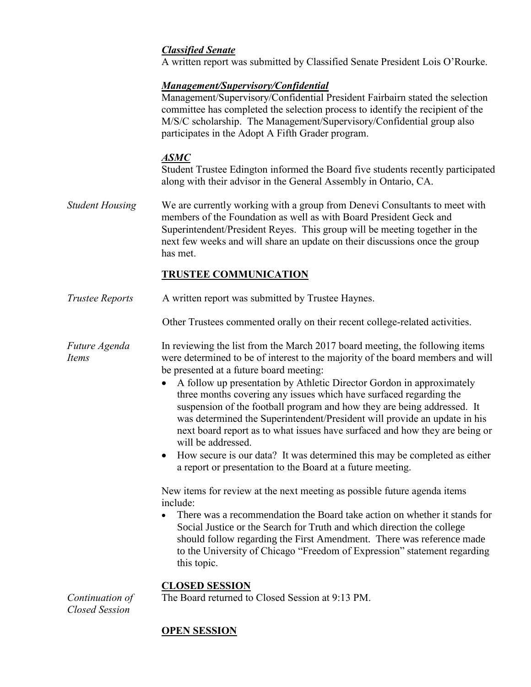## *Classified Senate*

A written report was submitted by Classified Senate President Lois O'Rourke.

## *Management/Supervisory/Confidential*

Management/Supervisory/Confidential President Fairbairn stated the selection committee has completed the selection process to identify the recipient of the M/S/C scholarship. The Management/Supervisory/Confidential group also participates in the Adopt A Fifth Grader program.

## *ASMC*

Student Trustee Edington informed the Board five students recently participated along with their advisor in the General Assembly in Ontario, CA.

*Student Housing* We are currently working with a group from Denevi Consultants to meet with members of the Foundation as well as with Board President Geck and Superintendent/President Reyes. This group will be meeting together in the next few weeks and will share an update on their discussions once the group has met.

# **TRUSTEE COMMUNICATION**

*Trustee Reports* A written report was submitted by Trustee Haynes.

Other Trustees commented orally on their recent college-related activities.

*Future Agenda Items* In reviewing the list from the March 2017 board meeting, the following items were determined to be of interest to the majority of the board members and will be presented at a future board meeting:

- A follow up presentation by Athletic Director Gordon in approximately three months covering any issues which have surfaced regarding the suspension of the football program and how they are being addressed. It was determined the Superintendent/President will provide an update in his next board report as to what issues have surfaced and how they are being or will be addressed.
- How secure is our data? It was determined this may be completed as either a report or presentation to the Board at a future meeting.

New items for review at the next meeting as possible future agenda items include:

 There was a recommendation the Board take action on whether it stands for Social Justice or the Search for Truth and which direction the college should follow regarding the First Amendment. There was reference made to the University of Chicago "Freedom of Expression" statement regarding this topic.

## **CLOSED SESSION**

The Board returned to Closed Session at 9:13 PM.

*Continuation of Closed Session*

# **OPEN SESSION**